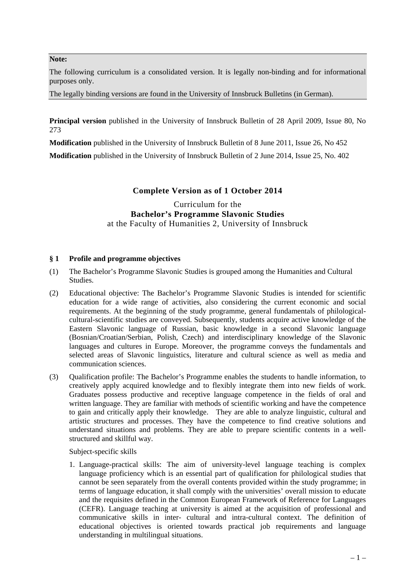## **Note:**

The following curriculum is a consolidated version. It is legally non-binding and for informational purposes only.

The legally binding versions are found in the University of Innsbruck Bulletins (in German).

**Principal version** published in the University of Innsbruck Bulletin of 28 April 2009, Issue 80, No 273

**Modification** published in the University of Innsbruck Bulletin of 8 June 2011, Issue 26, No 452

**Modification** published in the University of Innsbruck Bulletin of 2 June 2014, Issue 25, No. 402

## **Complete Version as of 1 October 2014**

## Curriculum for the **Bachelor's Programme Slavonic Studies** at the Faculty of Humanities 2, University of Innsbruck

### **§ 1 Profile and programme objectives**

- (1) The Bachelor's Programme Slavonic Studies is grouped among the Humanities and Cultural **Studies**
- (2) Educational objective: The Bachelor's Programme Slavonic Studies is intended for scientific education for a wide range of activities, also considering the current economic and social requirements. At the beginning of the study programme, general fundamentals of philologicalcultural-scientific studies are conveyed. Subsequently, students acquire active knowledge of the Eastern Slavonic language of Russian, basic knowledge in a second Slavonic language (Bosnian/Croatian/Serbian, Polish, Czech) and interdisciplinary knowledge of the Slavonic languages and cultures in Europe. Moreover, the programme conveys the fundamentals and selected areas of Slavonic linguistics, literature and cultural science as well as media and communication sciences.
- (3) Qualification profile: The Bachelor's Programme enables the students to handle information, to creatively apply acquired knowledge and to flexibly integrate them into new fields of work. Graduates possess productive and receptive language competence in the fields of oral and written language. They are familiar with methods of scientific working and have the competence to gain and critically apply their knowledge. They are able to analyze linguistic, cultural and artistic structures and processes. They have the competence to find creative solutions and understand situations and problems. They are able to prepare scientific contents in a wellstructured and skillful way.

Subject-specific skills

1. Language-practical skills: The aim of university-level language teaching is complex language proficiency which is an essential part of qualification for philological studies that cannot be seen separately from the overall contents provided within the study programme; in terms of language education, it shall comply with the universities' overall mission to educate and the requisites defined in the Common European Framework of Reference for Languages (CEFR). Language teaching at university is aimed at the acquisition of professional and communicative skills in inter- cultural and intra-cultural context. The definition of educational objectives is oriented towards practical job requirements and language understanding in multilingual situations.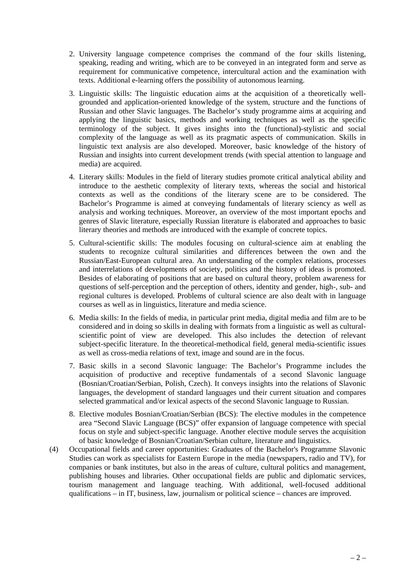- 2. University language competence comprises the command of the four skills listening, speaking, reading and writing, which are to be conveyed in an integrated form and serve as requirement for communicative competence, intercultural action and the examination with texts. Additional e-learning offers the possibility of autonomous learning.
- 3. Linguistic skills: The linguistic education aims at the acquisition of a theoretically wellgrounded and application-oriented knowledge of the system, structure and the functions of Russian and other Slavic languages. The Bachelor's study programme aims at acquiring and applying the linguistic basics, methods and working techniques as well as the specific terminology of the subject. It gives insights into the (functional)-stylistic and social complexity of the language as well as its pragmatic aspects of communication. Skills in linguistic text analysis are also developed. Moreover, basic knowledge of the history of Russian and insights into current development trends (with special attention to language and media) are acquired.
- 4. Literary skills: Modules in the field of literary studies promote critical analytical ability and introduce to the aesthetic complexity of literary texts, whereas the social and historical contexts as well as the conditions of the literary scene are to be considered. The Bachelor's Programme is aimed at conveying fundamentals of literary sciency as well as analysis and working techniques. Moreover, an overview of the most important epochs and genres of Slavic literature, especially Russian literature is elaborated and approaches to basic literary theories and methods are introduced with the example of concrete topics.
- 5. Cultural-scientific skills: The modules focusing on cultural-science aim at enabling the students to recognize cultural similarities and differences between the own and the Russian/East-European cultural area. An understanding of the complex relations, processes and interrelations of developments of society, politics and the history of ideas is promoted. Besides of elaborating of positions that are based on cultural theory, problem awareness for questions of self-perception and the perception of others, identity and gender, high-, sub- and regional cultures is developed. Problems of cultural science are also dealt with in language courses as well as in linguistics, literature and media science.
- 6. Media skills: In the fields of media, in particular print media, digital media and film are to be considered and in doing so skills in dealing with formats from a linguistic as well as culturalscientific point of view are developed. This also includes the detection of relevant subject-specific literature. In the theoretical-methodical field, general media-scientific issues as well as cross-media relations of text, image and sound are in the focus.
- 7. Basic skills in a second Slavonic language: The Bachelor's Programme includes the acquisition of productive and receptive fundamentals of a second Slavonic language (Bosnian/Croatian/Serbian, Polish, Czech). It conveys insights into the relations of Slavonic languages, the development of standard languages und their current situation and compares selected grammatical and/or lexical aspects of the second Slavonic language to Russian.
- 8. Elective modules Bosnian/Croatian/Serbian (BCS): The elective modules in the competence area "Second Slavic Language (BCS)" offer expansion of language competence with special focus on style and subject-specific language. Another elective module serves the acquisition of basic knowledge of Bosnian/Croatian/Serbian culture, literature and linguistics.
- (4) Occupational fields and career opportunities: Graduates of the Bachelor's Programme Slavonic Studies can work as specialists for Eastern Europe in the media (newspapers, radio and TV), for companies or bank institutes, but also in the areas of culture, cultural politics and management, publishing houses and libraries. Other occupational fields are public and diplomatic services, tourism management and language teaching. With additional, well-focused additional qualifications – in IT, business, law, journalism or political science – chances are improved.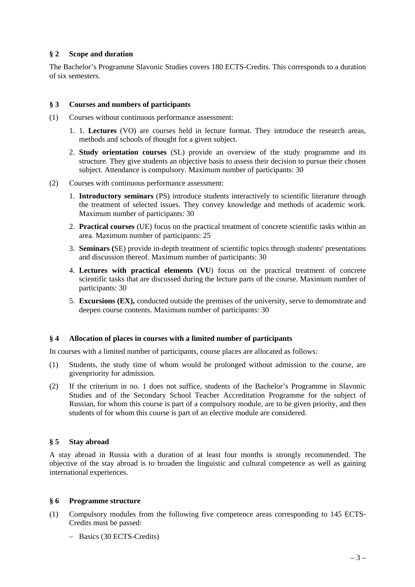## **§ 2 Scope and duration**

The Bachelor's Programme Slavonic Studies covers 180 ECTS-Credits. This corresponds to a duration of six semesters.

### **§ 3 Courses and numbers of participants**

- (1) Courses without continuous performance assessment:
	- 1. 1. **Lectures** (VO) are courses held in lecture format. They introduce the research areas, methods and schools of thought for a given subject.
	- 2. **Study orientation courses** (SL) provide an overview of the study programme and its structure. They give students an objective basis to assess their decision to pursue their chosen subject. Attendance is compulsory. Maximum number of participants: 30
- (2) Courses with continuous performance assessment:
	- 1. **Introductory seminars** (PS) introduce students interactively to scientific literature through the treatment of selected issues. They convey knowledge and methods of academic work. Maximum number of participants: 30
	- 2. **Practical courses** (UE) focus on the practical treatment of concrete scientific tasks within an area. Maximum number of participants: 25
	- 3. **Seminars (**SE) provide in-depth treatment of scientific topics through students' presentations and discussion thereof. Maximum number of participants: 30
	- 4. **Lectures with practical elements (VU**) focus on the practical treatment of concrete scientific tasks that are discussed during the lecture parts of the course. Maximum number of participants: 30
	- 5. **Excursions (EX),** conducted outside the premises of the university, serve to demonstrate and deepen course contents. Maximum number of participants: 30

### **§ 4 Allocation of places in courses with a limited number of participants**

In courses with a limited number of participants, course places are allocated as follows:

- (1) Students, the study time of whom would be prolonged without admission to the course, are givenpriority for admission.
- (2) If the criterium in no. 1 does not suffice, students of the Bachelor's Programme in Slavonic Studies and of the Secondary School Teacher Accreditation Programme for the subject of Russian, for whom this course is part of a compulsory module, are to be given priority, and then students of for whom this course is part of an elective module are considered.

### **§ 5 Stay abroad**

A stay abroad in Russia with a duration of at least four months is strongly recommended. The objective of the stay abroad is to broaden the linguistic and cultural competence as well as gaining international experiences.

### **§ 6 Programme structure**

- (1) Compulsory modules from the following five competence areas corresponding to 145 ECTS-Credits must be passed:
	- Basics (30 ECTS-Credits)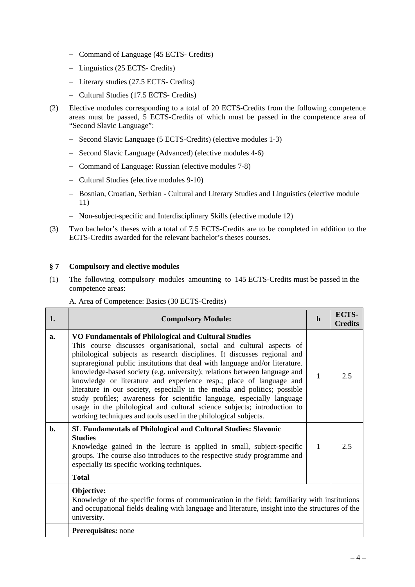- Command of Language (45 ECTS- Credits)
- Linguistics (25 ECTS- Credits)
- Literary studies (27.5 ECTS- Credits)
- Cultural Studies (17.5 ECTS- Credits)
- (2) Elective modules corresponding to a total of 20 ECTS-Credits from the following competence areas must be passed, 5 ECTS-Credits of which must be passed in the competence area of "Second Slavic Language":
	- Second Slavic Language (5 ECTS-Credits) (elective modules 1-3)
	- Second Slavic Language (Advanced) (elective modules 4-6)
	- Command of Language: Russian (elective modules 7-8)
	- Cultural Studies (elective modules 9-10)
	- Bosnian, Croatian, Serbian Cultural and Literary Studies and Linguistics (elective module 11)
	- Non-subject-specific and Interdisciplinary Skills (elective module 12)
- (3) Two bachelor's theses with a total of 7.5 ECTS-Credits are to be completed in addition to the ECTS-Credits awarded for the relevant bachelor's theses courses.

## **§ 7 Compulsory and elective modules**

(1) The following compulsory modules amounting to 145 ECTS-Credits must be passed in the competence areas:

A. Area of Competence: Basics (30 ECTS-Credits)

| 1.             | <b>Compulsory Module:</b>                                                                                                                                                                                                                                                                                                                                                                                                                                                                                                                                                                                                                                                                                                                          | h            | <b>ECTS-</b><br><b>Credits</b> |
|----------------|----------------------------------------------------------------------------------------------------------------------------------------------------------------------------------------------------------------------------------------------------------------------------------------------------------------------------------------------------------------------------------------------------------------------------------------------------------------------------------------------------------------------------------------------------------------------------------------------------------------------------------------------------------------------------------------------------------------------------------------------------|--------------|--------------------------------|
| a.             | VO Fundamentals of Philological and Cultural Studies<br>This course discusses organisational, social and cultural aspects of<br>philological subjects as research disciplines. It discusses regional and<br>supraregional public institutions that deal with language and/or literature.<br>knowledge-based society (e.g. university); relations between language and<br>knowledge or literature and experience resp.; place of language and<br>literature in our society, especially in the media and politics; possible<br>study profiles; awareness for scientific language, especially language<br>usage in the philological and cultural science subjects; introduction to<br>working techniques and tools used in the philological subjects. | 1            | 2.5                            |
| $\mathbf{b}$ . | <b>SL Fundamentals of Philological and Cultural Studies: Slavonic</b><br><b>Studies</b><br>Knowledge gained in the lecture is applied in small, subject-specific<br>groups. The course also introduces to the respective study programme and<br>especially its specific working techniques.                                                                                                                                                                                                                                                                                                                                                                                                                                                        | $\mathbf{1}$ | 2.5                            |
|                | <b>Total</b>                                                                                                                                                                                                                                                                                                                                                                                                                                                                                                                                                                                                                                                                                                                                       |              |                                |
|                | Objective:<br>Knowledge of the specific forms of communication in the field; familiarity with institutions<br>and occupational fields dealing with language and literature, insight into the structures of the<br>university.                                                                                                                                                                                                                                                                                                                                                                                                                                                                                                                      |              |                                |
|                | <b>Prerequisites:</b> none                                                                                                                                                                                                                                                                                                                                                                                                                                                                                                                                                                                                                                                                                                                         |              |                                |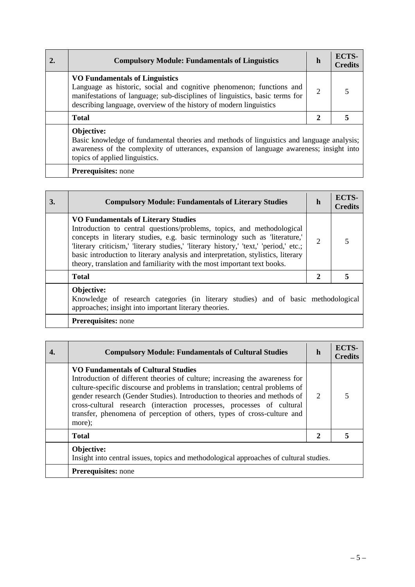| <b>Compulsory Module: Fundamentals of Linguistics</b>                                                                                                                                                                                                              | h                           | ECTS-<br><b>Credits</b> |
|--------------------------------------------------------------------------------------------------------------------------------------------------------------------------------------------------------------------------------------------------------------------|-----------------------------|-------------------------|
| <b>VO Fundamentals of Linguistics</b><br>Language as historic, social and cognitive phenomenon; functions and<br>manifestations of language; sub-disciplines of linguistics, basic terms for<br>describing language, overview of the history of modern linguistics | $\mathcal{D}_{\mathcal{L}}$ |                         |
| <b>Total</b>                                                                                                                                                                                                                                                       | 2                           |                         |
| Objective:<br>Basic knowledge of fundamental theories and methods of linguistics and language analysis;<br>awareness of the complexity of utterances, expansion of language awareness; insight into<br>topics of applied linguistics.                              |                             |                         |

**Prerequisites:** none

| 3. | <b>Compulsory Module: Fundamentals of Literary Studies</b>                                                                                                                                                                                                                                                                                                                                                                                                 | h              | <b>ECTS-</b><br><b>Credits</b> |
|----|------------------------------------------------------------------------------------------------------------------------------------------------------------------------------------------------------------------------------------------------------------------------------------------------------------------------------------------------------------------------------------------------------------------------------------------------------------|----------------|--------------------------------|
|    | <b>VO Fundamentals of Literary Studies</b><br>Introduction to central questions/problems, topics, and methodological<br>concepts in literary studies, e.g. basic terminology such as 'literature,'<br>'literary criticism,' 'literary studies,' 'literary history,' 'text,' 'period,' etc.;<br>basic introduction to literary analysis and interpretation, stylistics, literary<br>theory, translation and familiarity with the most important text books. | $\overline{2}$ |                                |
|    | <b>Total</b>                                                                                                                                                                                                                                                                                                                                                                                                                                               | 2              |                                |
|    | Objective:<br>Knowledge of research categories (in literary studies) and of basic methodological<br>approaches; insight into important literary theories.                                                                                                                                                                                                                                                                                                  |                |                                |
|    | <b>Prerequisites:</b> none                                                                                                                                                                                                                                                                                                                                                                                                                                 |                |                                |

| <b>Compulsory Module: Fundamentals of Cultural Studies</b>                                                                                                                                                                                                                                                                                                                                                                                   | h | ECTS-<br><b>Credits</b> |
|----------------------------------------------------------------------------------------------------------------------------------------------------------------------------------------------------------------------------------------------------------------------------------------------------------------------------------------------------------------------------------------------------------------------------------------------|---|-------------------------|
| VO Fundamentals of Cultural Studies<br>Introduction of different theories of culture; increasing the awareness for<br>culture-specific discourse and problems in translation; central problems of<br>gender research (Gender Studies). Introduction to theories and methods of<br>cross-cultural research (interaction processes, processes of cultural<br>transfer, phenomena of perception of others, types of cross-culture and<br>more); | 2 |                         |
| <b>Total</b>                                                                                                                                                                                                                                                                                                                                                                                                                                 | 2 |                         |
| Objective:<br>Insight into central issues, topics and methodological approaches of cultural studies.                                                                                                                                                                                                                                                                                                                                         |   |                         |
| <b>Prerequisites:</b> none                                                                                                                                                                                                                                                                                                                                                                                                                   |   |                         |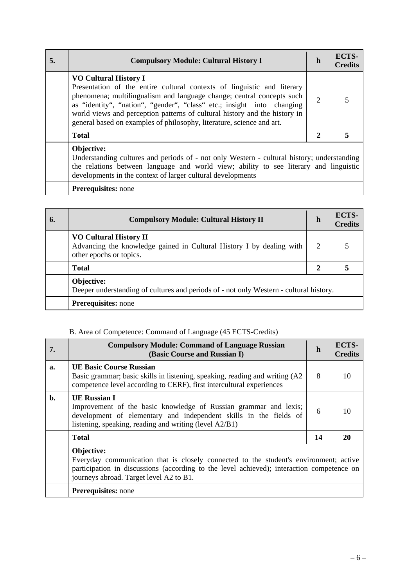| 5. | <b>Compulsory Module: Cultural History I</b>                                                                                                                                                                                                                                                                                                                                                                      | h              | ECTS-<br><b>Credits</b> |
|----|-------------------------------------------------------------------------------------------------------------------------------------------------------------------------------------------------------------------------------------------------------------------------------------------------------------------------------------------------------------------------------------------------------------------|----------------|-------------------------|
|    | <b>VO Cultural History I</b><br>Presentation of the entire cultural contexts of linguistic and literary<br>phenomena; multilingualism and language change; central concepts such<br>as "identity", "nation", "gender", "class" etc.; insight into changing<br>world views and perception patterns of cultural history and the history in<br>general based on examples of philosophy, literature, science and art. | $\overline{2}$ |                         |
|    | <b>Total</b>                                                                                                                                                                                                                                                                                                                                                                                                      | $\mathbf{2}$   |                         |
|    | Objective:<br>Understanding cultures and periods of - not only Western - cultural history; understanding<br>the relations between language and world view; ability to see literary and linguistic<br>developments in the context of larger cultural developments                                                                                                                                                  |                |                         |

| <b>Prerequisites:</b> none |  |
|----------------------------|--|
|                            |  |

| 6. | <b>Compulsory Module: Cultural History II</b>                                                                                    | $\mathbf h$ | ECTS-<br>Credits |
|----|----------------------------------------------------------------------------------------------------------------------------------|-------------|------------------|
|    | <b>VO Cultural History II</b><br>Advancing the knowledge gained in Cultural History I by dealing with<br>other epochs or topics. | 2           |                  |
|    | <b>Total</b>                                                                                                                     | 2           |                  |
|    | Objective:<br>Deeper understanding of cultures and periods of - not only Western - cultural history.                             |             |                  |
|    | <b>Prerequisites:</b> none                                                                                                       |             |                  |

## B. Area of Competence: Command of Language (45 ECTS-Credits)

| 7. | <b>Compulsory Module: Command of Language Russian</b><br>(Basic Course and Russian I)                                                                                                                                                       | h  | ECTS-<br><b>Credits</b> |
|----|---------------------------------------------------------------------------------------------------------------------------------------------------------------------------------------------------------------------------------------------|----|-------------------------|
| a. | <b>UE Basic Course Russian</b><br>Basic grammar; basic skills in listening, speaking, reading and writing (A2<br>competence level according to CERF), first intercultural experiences                                                       | 8  | 10                      |
| b. | <b>UE Russian I</b><br>Improvement of the basic knowledge of Russian grammar and lexis;<br>development of elementary and independent skills in the fields of<br>listening, speaking, reading and writing (level A2/B1)                      | 6  | 10                      |
|    | <b>Total</b>                                                                                                                                                                                                                                | 14 | 20                      |
|    | Objective:<br>Everyday communication that is closely connected to the student's environment; active<br>participation in discussions (according to the level achieved); interaction competence on<br>journeys abroad. Target level A2 to B1. |    |                         |
|    | <b>Prerequisites:</b> none                                                                                                                                                                                                                  |    |                         |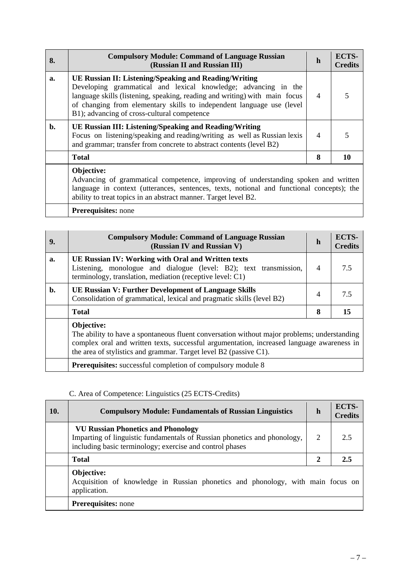| 8. | <b>Compulsory Module: Command of Language Russian</b><br>(Russian II and Russian III)                                                                                                                                                                                                                                          | $\mathbf h$              | ECTS-<br>Credits |
|----|--------------------------------------------------------------------------------------------------------------------------------------------------------------------------------------------------------------------------------------------------------------------------------------------------------------------------------|--------------------------|------------------|
| a. | UE Russian II: Listening/Speaking and Reading/Writing<br>Developing grammatical and lexical knowledge; advancing in the<br>language skills (listening, speaking, reading and writing) with main focus<br>of changing from elementary skills to independent language use (level)<br>B1); advancing of cross-cultural competence | $\overline{4}$           |                  |
| b. | UE Russian III: Listening/Speaking and Reading/Writing<br>Focus on listening/speaking and reading/writing as well as Russian lexis<br>and grammar; transfer from concrete to abstract contents (level B2)                                                                                                                      | $\overline{\mathcal{A}}$ |                  |
|    | <b>Total</b>                                                                                                                                                                                                                                                                                                                   | 8                        | 10               |
|    | Objective:<br>Advancing of grammatical competence, improving of understanding spoken and written<br>language in context (utterances, sentences, texts, notional and functional concepts); the<br>ability to treat topics in an abstract manner. Target level B2.                                                               |                          |                  |

## **Prerequisites:** none

| 9. | <b>Compulsory Module: Command of Language Russian</b><br>(Russian IV and Russian V)                                                                                                                                                                                         | h | ECTS-<br><b>Credits</b> |
|----|-----------------------------------------------------------------------------------------------------------------------------------------------------------------------------------------------------------------------------------------------------------------------------|---|-------------------------|
| a. | UE Russian IV: Working with Oral and Written texts<br>Listening, monologue and dialogue (level: B2); text transmission,<br>terminology, translation, mediation (receptive level: C1)                                                                                        | 4 | 7.5                     |
| b. | <b>UE Russian V: Further Development of Language Skills</b><br>Consolidation of grammatical, lexical and pragmatic skills (level B2)                                                                                                                                        | 4 | 7.5                     |
|    | <b>Total</b>                                                                                                                                                                                                                                                                | 8 | 15                      |
|    | Objective:<br>The ability to have a spontaneous fluent conversation without major problems; understanding<br>complex oral and written texts, successful argumentation, increased language awareness in<br>the area of stylistics and grammar. Target level B2 (passive C1). |   |                         |
|    | <b>Prerequisites:</b> successful completion of compulsory module 8                                                                                                                                                                                                          |   |                         |

C. Area of Competence: Linguistics (25 ECTS-Credits)

| 10. | <b>Compulsory Module: Fundamentals of Russian Linguistics</b>                                                                                                                     | h | ECTS-<br><b>Credits</b> |
|-----|-----------------------------------------------------------------------------------------------------------------------------------------------------------------------------------|---|-------------------------|
|     | <b>VU Russian Phonetics and Phonology</b><br>Imparting of linguistic fundamentals of Russian phonetics and phonology,<br>including basic terminology; exercise and control phases | 2 | 2.5                     |
|     | <b>Total</b>                                                                                                                                                                      | 2 | 2.5                     |
|     | Objective:<br>Acquisition of knowledge in Russian phonetics and phonology, with main focus on<br>application.                                                                     |   |                         |
|     | <b>Prerequisites:</b> none                                                                                                                                                        |   |                         |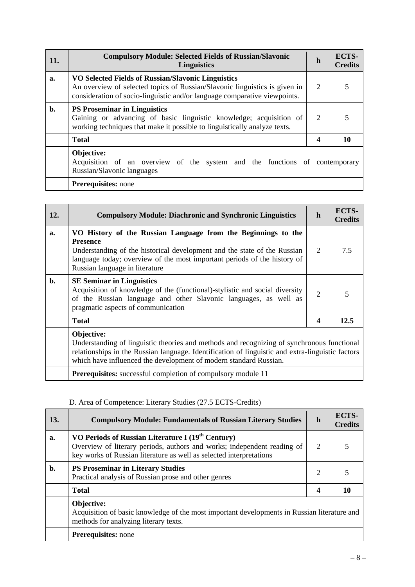| 11. | <b>Compulsory Module: Selected Fields of Russian/Slavonic</b><br><b>Linguistics</b>                                                                                                                                  | h | ECTS-<br><b>Credits</b> |
|-----|----------------------------------------------------------------------------------------------------------------------------------------------------------------------------------------------------------------------|---|-------------------------|
| a.  | <b>VO Selected Fields of Russian/Slavonic Linguistics</b><br>An overview of selected topics of Russian/Slavonic linguistics is given in<br>consideration of socio-linguistic and/or language comparative viewpoints. | 2 |                         |
| b.  | <b>PS Proseminar in Linguistics</b><br>Gaining or advancing of basic linguistic knowledge; acquisition of<br>working techniques that make it possible to linguistically analyze texts.                               | 2 |                         |
|     | <b>Total</b>                                                                                                                                                                                                         | 4 | 10                      |
|     | Objective:<br>Acquisition of an overview of the system and the functions of<br>Russian/Slavonic languages                                                                                                            |   | contemporary            |
|     | <b>Prerequisites:</b> none                                                                                                                                                                                           |   |                         |

| 12.            | <b>Compulsory Module: Diachronic and Synchronic Linguistics</b>                                                                                                                                                                                                                   | $\mathbf h$      | ECTS-<br><b>Credits</b> |
|----------------|-----------------------------------------------------------------------------------------------------------------------------------------------------------------------------------------------------------------------------------------------------------------------------------|------------------|-------------------------|
| a.             | VO History of the Russian Language from the Beginnings to the<br><b>Presence</b><br>Understanding of the historical development and the state of the Russian<br>language today; overview of the most important periods of the history of<br>Russian language in literature        | 2                | 7.5                     |
| $\mathbf{b}$ . | <b>SE Seminar in Linguistics</b><br>Acquisition of knowledge of the (functional)-stylistic and social diversity<br>of the Russian language and other Slavonic languages, as well as<br>pragmatic aspects of communication                                                         | 2                | 5                       |
|                | <b>Total</b>                                                                                                                                                                                                                                                                      | $\boldsymbol{4}$ | 12.5                    |
|                | Objective:<br>Understanding of linguistic theories and methods and recognizing of synchronous functional<br>relationships in the Russian language. Identification of linguistic and extra-linguistic factors<br>which have influenced the development of modern standard Russian. |                  |                         |
|                | <b>Prerequisites:</b> successful completion of compulsory module 11                                                                                                                                                                                                               |                  |                         |

D. Area of Competence: Literary Studies (27.5 ECTS-Credits)

|                | $D$ . Then of Competence. Energy bradies (27.5 LCTD Credits)                                                                                                                                                    |   |                         |
|----------------|-----------------------------------------------------------------------------------------------------------------------------------------------------------------------------------------------------------------|---|-------------------------|
| 13.            | <b>Compulsory Module: Fundamentals of Russian Literary Studies</b>                                                                                                                                              | h | ECTS-<br><b>Credits</b> |
| a.             | VO Periods of Russian Literature I (19 <sup>th</sup> Century)<br>Overview of literary periods, authors and works; independent reading of<br>key works of Russian literature as well as selected interpretations | 2 |                         |
| $\mathbf{b}$ . | <b>PS Proseminar in Literary Studies</b><br>Practical analysis of Russian prose and other genres                                                                                                                | 2 |                         |
|                | <b>Total</b>                                                                                                                                                                                                    | 4 | 10                      |
|                | Objective:<br>Acquisition of basic knowledge of the most important developments in Russian literature and<br>methods for analyzing literary texts.                                                              |   |                         |
|                | Prerequisites: none                                                                                                                                                                                             |   |                         |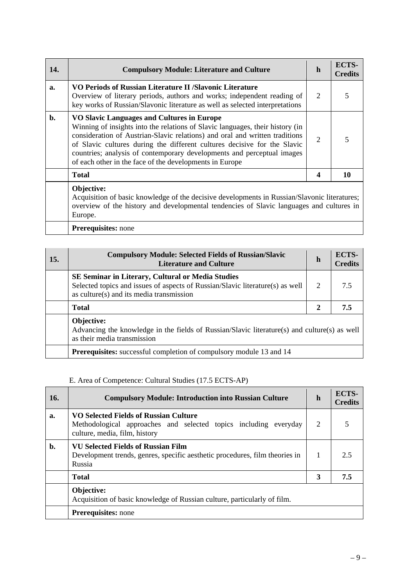| 14. | <b>Compulsory Module: Literature and Culture</b>                                                                                                                                                                                                                                                                                                                                                                            | $\mathbf h$    | ECTS-<br><b>Credits</b> |
|-----|-----------------------------------------------------------------------------------------------------------------------------------------------------------------------------------------------------------------------------------------------------------------------------------------------------------------------------------------------------------------------------------------------------------------------------|----------------|-------------------------|
| a.  | VO Periods of Russian Literature II <i>(Slavonic Literature</i> )<br>Overview of literary periods, authors and works; independent reading of<br>key works of Russian/Slavonic literature as well as selected interpretations                                                                                                                                                                                                | 2              |                         |
| b.  | VO Slavic Languages and Cultures in Europe<br>Winning of insights into the relations of Slavic languages, their history (in<br>consideration of Austrian-Slavic relations) and oral and written traditions<br>of Slavic cultures during the different cultures decisive for the Slavic<br>countries; analysis of contemporary developments and perceptual images<br>of each other in the face of the developments in Europe | $\overline{2}$ |                         |
|     | <b>Total</b>                                                                                                                                                                                                                                                                                                                                                                                                                | 4              | 10                      |
|     | Objective:<br>Acquisition of basic knowledge of the decisive developments in Russian/Slavonic literatures;<br>overview of the history and developmental tendencies of Slavic languages and cultures in<br>Europe.                                                                                                                                                                                                           |                |                         |

| 15. | <b>Compulsory Module: Selected Fields of Russian/Slavic</b><br><b>Literature and Culture</b>                                                                                          | h                | ECTS-<br><b>Credits</b> |
|-----|---------------------------------------------------------------------------------------------------------------------------------------------------------------------------------------|------------------|-------------------------|
|     | <b>SE Seminar in Literary, Cultural or Media Studies</b><br>Selected topics and issues of aspects of Russian/Slavic literature(s) as well<br>as culture(s) and its media transmission | 2                | 7.5                     |
|     | <b>Total</b>                                                                                                                                                                          | $\boldsymbol{2}$ | 7.5                     |
|     | Objective:<br>Advancing the knowledge in the fields of Russian/Slavic literature(s) and culture(s) as well<br>as their media transmission                                             |                  |                         |
|     | <b>Prerequisites:</b> successful completion of compulsory module 13 and 14                                                                                                            |                  |                         |

E. Area of Competence: Cultural Studies (17.5 ECTS-AP)

|            | $E$ . Area of Competence. Cultural Studies (17.9 ECTS-AT)                                                                                         |   |                         |
|------------|---------------------------------------------------------------------------------------------------------------------------------------------------|---|-------------------------|
| <b>16.</b> | <b>Compulsory Module: Introduction into Russian Culture</b>                                                                                       | h | ECTS-<br><b>Credits</b> |
| a.         | <b>VO Selected Fields of Russian Culture</b><br>Methodological approaches and selected topics including everyday<br>culture, media, film, history | 2 |                         |
| b.         | <b>VU Selected Fields of Russian Film</b><br>Development trends, genres, specific aesthetic procedures, film theories in<br>Russia                |   | 2.5                     |
|            | <b>Total</b>                                                                                                                                      | 3 | 7.5                     |
|            | Objective:<br>Acquisition of basic knowledge of Russian culture, particularly of film.                                                            |   |                         |
|            | <b>Prerequisites:</b> none                                                                                                                        |   |                         |

 $\mathbb{R}^2$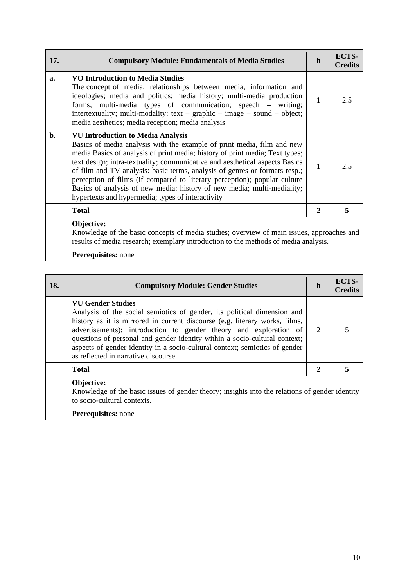| 17. | <b>Compulsory Module: Fundamentals of Media Studies</b>                                                                                                                                                                                                                                                                                                                                                                                                                                                                                                                      | h            | <b>ECTS-</b><br><b>Credits</b> |
|-----|------------------------------------------------------------------------------------------------------------------------------------------------------------------------------------------------------------------------------------------------------------------------------------------------------------------------------------------------------------------------------------------------------------------------------------------------------------------------------------------------------------------------------------------------------------------------------|--------------|--------------------------------|
| a.  | <b>VO Introduction to Media Studies</b><br>The concept of media; relationships between media, information and<br>ideologies; media and politics; media history; multi-media production<br>forms; multi-media types of communication; speech – writing;<br>intertextuality; multi-modality: text – graphic – image – sound – object;<br>media aesthetics; media reception; media analysis                                                                                                                                                                                     | $\mathbf{1}$ | 2.5                            |
| b.  | <b>VU Introduction to Media Analysis</b><br>Basics of media analysis with the example of print media, film and new<br>media Basics of analysis of print media; history of print media; Text types;<br>text design; intra-textuality; communicative and aesthetical aspects Basics<br>of film and TV analysis: basic terms, analysis of genres or formats resp.;<br>perception of films (if compared to literary perception); popular culture<br>Basics of analysis of new media: history of new media; multi-mediality;<br>hypertexts and hypermedia; types of interactivity | $\mathbf{1}$ | 2.5                            |
|     | <b>Total</b>                                                                                                                                                                                                                                                                                                                                                                                                                                                                                                                                                                 | $\mathbf{2}$ | 5                              |
|     | Objective:<br>Knowledge of the basic concepts of media studies; overview of main issues, approaches and<br>results of media research; exemplary introduction to the methods of media analysis.                                                                                                                                                                                                                                                                                                                                                                               |              |                                |
|     | <b>Prerequisites:</b> none                                                                                                                                                                                                                                                                                                                                                                                                                                                                                                                                                   |              |                                |

| <b>18.</b> | <b>Compulsory Module: Gender Studies</b>                                                                                                                                                                                                                                                                                                                                                                                                                    | h | <b>ECTS-</b><br>Credits |
|------------|-------------------------------------------------------------------------------------------------------------------------------------------------------------------------------------------------------------------------------------------------------------------------------------------------------------------------------------------------------------------------------------------------------------------------------------------------------------|---|-------------------------|
|            | <b>VU Gender Studies</b><br>Analysis of the social semiotics of gender, its political dimension and<br>history as it is mirrored in current discourse (e.g. literary works, films,<br>advertisements); introduction to gender theory and exploration of<br>questions of personal and gender identity within a socio-cultural context;<br>aspects of gender identity in a socio-cultural context; semiotics of gender<br>as reflected in narrative discourse | 2 |                         |
|            | <b>Total</b>                                                                                                                                                                                                                                                                                                                                                                                                                                                | 2 |                         |
|            | Objective:<br>Knowledge of the basic issues of gender theory; insights into the relations of gender identity<br>to socio-cultural contexts.                                                                                                                                                                                                                                                                                                                 |   |                         |
|            | <b>Prerequisites:</b> none                                                                                                                                                                                                                                                                                                                                                                                                                                  |   |                         |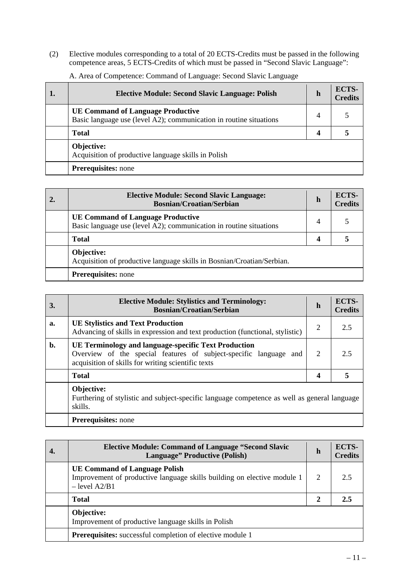(2) Elective modules corresponding to a total of 20 ECTS-Credits must be passed in the following competence areas, 5 ECTS-Credits of which must be passed in "Second Slavic Language":

| <b>Elective Module: Second Slavic Language: Polish</b>                                                         | h | ECTS-<br><b>Credits</b> |
|----------------------------------------------------------------------------------------------------------------|---|-------------------------|
| <b>UE Command of Language Productive</b><br>Basic language use (level A2); communication in routine situations | 4 |                         |
| <b>Total</b>                                                                                                   | 4 |                         |
| Objective:<br>Acquisition of productive language skills in Polish                                              |   |                         |
| <b>Prerequisites:</b> none                                                                                     |   |                         |

A. Area of Competence: Command of Language: Second Slavic Language

| 2. | <b>Elective Module: Second Slavic Language:</b><br><b>Bosnian/Croatian/Serbian</b>                             | h | ECTS-<br><b>Credits</b> |
|----|----------------------------------------------------------------------------------------------------------------|---|-------------------------|
|    | <b>UE Command of Language Productive</b><br>Basic language use (level A2); communication in routine situations | 4 |                         |
|    | <b>Total</b>                                                                                                   | Δ |                         |
|    | Objective:<br>Acquisition of productive language skills in Bosnian/Croatian/Serbian.                           |   |                         |
|    | <b>Prerequisites:</b> none                                                                                     |   |                         |

| 3. | <b>Elective Module: Stylistics and Terminology:</b><br><b>Bosnian/Croatian/Serbian</b>                                                                                          | h | ECTS-<br><b>Credits</b> |
|----|---------------------------------------------------------------------------------------------------------------------------------------------------------------------------------|---|-------------------------|
| a. | <b>UE Stylistics and Text Production</b><br>Advancing of skills in expression and text production (functional, stylistic)                                                       | 2 | 2.5                     |
| b. | UE Terminology and language-specific Text Production<br>Overview of the special features of subject-specific language and<br>acquisition of skills for writing scientific texts | 2 | 2.5                     |
|    | <b>Total</b>                                                                                                                                                                    | 4 | 5                       |
|    | Objective:<br>Furthering of stylistic and subject-specific language competence as well as general language<br>skills.                                                           |   |                         |
|    | <b>Prerequisites:</b> none                                                                                                                                                      |   |                         |

| 4. | <b>Elective Module: Command of Language "Second Slavic</b><br><b>Language</b> " Productive (Polish)                                  | h | <b>ECTS-</b><br><b>Credits</b> |
|----|--------------------------------------------------------------------------------------------------------------------------------------|---|--------------------------------|
|    | <b>UE Command of Language Polish</b><br>Improvement of productive language skills building on elective module 1<br>$-$ level $A2/B1$ | 2 | 2.5                            |
|    | <b>Total</b>                                                                                                                         | 2 | 2.5                            |
|    | Objective:<br>Improvement of productive language skills in Polish                                                                    |   |                                |
|    | <b>Prerequisites:</b> successful completion of elective module 1                                                                     |   |                                |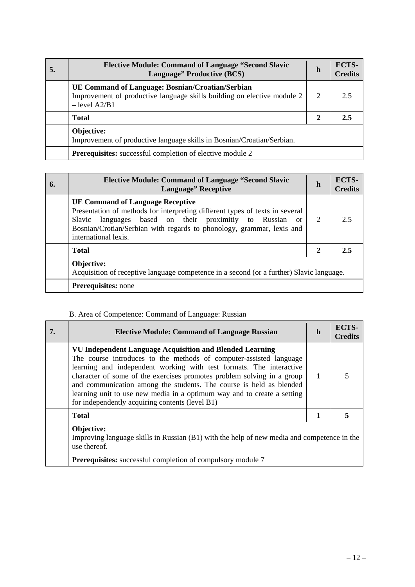| 5. | <b>Elective Module: Command of Language "Second Slavic</b><br>Language" Productive (BCS)                                                       | h | ECTS-<br><b>Credits</b> |
|----|------------------------------------------------------------------------------------------------------------------------------------------------|---|-------------------------|
|    | UE Command of Language: Bosnian/Croatian/Serbian<br>Improvement of productive language skills building on elective module 2<br>$-$ level A2/B1 | 2 | 2.5                     |
|    | <b>Total</b>                                                                                                                                   | 2 | 2.5                     |
|    | Objective:<br>Improvement of productive language skills in Bosnian/Croatian/Serbian.                                                           |   |                         |
|    | <b>Prerequisites:</b> successful completion of elective module 2                                                                               |   |                         |

| 6. | <b>Elective Module: Command of Language "Second Slavic</b><br><b>Language</b> " Receptive                                                                                                                                                                                               | h            | ECTS-<br><b>Credits</b> |
|----|-----------------------------------------------------------------------------------------------------------------------------------------------------------------------------------------------------------------------------------------------------------------------------------------|--------------|-------------------------|
|    | <b>UE Command of Language Receptive</b><br>Presentation of methods for interpreting different types of texts in several<br>languages based on their proximitiy to Russian or<br>Slavic<br>Bosnian/Crotian/Serbian with regards to phonology, grammar, lexis and<br>international lexis. | 2            | 2.5                     |
|    | <b>Total</b>                                                                                                                                                                                                                                                                            | $\mathbf{2}$ | 2.5                     |
|    | Objective:<br>Acquisition of receptive language competence in a second (or a further) Slavic language.                                                                                                                                                                                  |              |                         |
|    | <b>Prerequisites:</b> none                                                                                                                                                                                                                                                              |              |                         |

# B. Area of Competence: Command of Language: Russian

| 7. | <b>Elective Module: Command of Language Russian</b>                                                                                                                                                                                                                                                                                                                                                                                                                                  | h | ECTS-<br><b>Credits</b> |
|----|--------------------------------------------------------------------------------------------------------------------------------------------------------------------------------------------------------------------------------------------------------------------------------------------------------------------------------------------------------------------------------------------------------------------------------------------------------------------------------------|---|-------------------------|
|    | VU Independent Language Acquisition and Blended Learning<br>The course introduces to the methods of computer-assisted language<br>learning and independent working with test formats. The interactive<br>character of some of the exercises promotes problem solving in a group<br>and communication among the students. The course is held as blended<br>learning unit to use new media in a optimum way and to create a setting<br>for independently acquiring contents (level B1) | 1 | 5                       |
|    | <b>Total</b>                                                                                                                                                                                                                                                                                                                                                                                                                                                                         |   |                         |
|    | Objective:<br>Improving language skills in Russian (B1) with the help of new media and competence in the<br>use thereof.                                                                                                                                                                                                                                                                                                                                                             |   |                         |
|    | <b>Prerequisites:</b> successful completion of compulsory module 7                                                                                                                                                                                                                                                                                                                                                                                                                   |   |                         |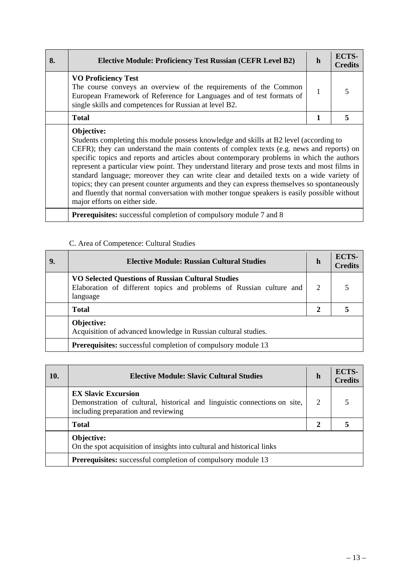| 8. | <b>Elective Module: Proficiency Test Russian (CEFR Level B2)</b>                                                                                                                                                                                                                                                                                                                                                                                                                                                                                                                                                                                                                                                           | h | <b>ECTS-</b><br><b>Credits</b> |
|----|----------------------------------------------------------------------------------------------------------------------------------------------------------------------------------------------------------------------------------------------------------------------------------------------------------------------------------------------------------------------------------------------------------------------------------------------------------------------------------------------------------------------------------------------------------------------------------------------------------------------------------------------------------------------------------------------------------------------------|---|--------------------------------|
|    | <b>VO Proficiency Test</b><br>The course conveys an overview of the requirements of the Common<br>European Framework of Reference for Languages and of test formats of<br>single skills and competences for Russian at level B2.                                                                                                                                                                                                                                                                                                                                                                                                                                                                                           | 1 |                                |
|    | <b>Total</b>                                                                                                                                                                                                                                                                                                                                                                                                                                                                                                                                                                                                                                                                                                               |   | 5                              |
|    | Objective:<br>Students completing this module possess knowledge and skills at B2 level (according to<br>CEFR); they can understand the main contents of complex texts (e.g. news and reports) on<br>specific topics and reports and articles about contemporary problems in which the authors<br>represent a particular view point. They understand literary and prose texts and most films in<br>standard language; moreover they can write clear and detailed texts on a wide variety of<br>topics; they can present counter arguments and they can express themselves so spontaneously<br>and fluently that normal conversation with mother tongue speakers is easily possible without<br>major efforts on either side. |   |                                |

**Prerequisites:** successful completion of compulsory module 7 and 8

# C. Area of Competence: Cultural Studies

| 9. | <b>Elective Module: Russian Cultural Studies</b>                                                                                            | $\mathbf h$ | <b>ECTS-</b><br>Credits |
|----|---------------------------------------------------------------------------------------------------------------------------------------------|-------------|-------------------------|
|    | <b>VO Selected Questions of Russian Cultural Studies</b><br>Elaboration of different topics and problems of Russian culture and<br>language | 2           |                         |
|    | <b>Total</b>                                                                                                                                | 2           |                         |
|    | Objective:<br>Acquisition of advanced knowledge in Russian cultural studies.                                                                |             |                         |
|    | <b>Prerequisites:</b> successful completion of compulsory module 13                                                                         |             |                         |

| 10. | <b>Elective Module: Slavic Cultural Studies</b>                                                                                                | h                           | ECTS-<br><b>Credits</b> |
|-----|------------------------------------------------------------------------------------------------------------------------------------------------|-----------------------------|-------------------------|
|     | <b>EX Slavic Excursion</b><br>Demonstration of cultural, historical and linguistic connections on site,<br>including preparation and reviewing | $\mathcal{D}_{\mathcal{L}}$ |                         |
|     | <b>Total</b>                                                                                                                                   | $\mathbf{2}$                |                         |
|     | Objective:<br>On the spot acquisition of insights into cultural and historical links                                                           |                             |                         |
|     | <b>Prerequisites:</b> successful completion of compulsory module 13                                                                            |                             |                         |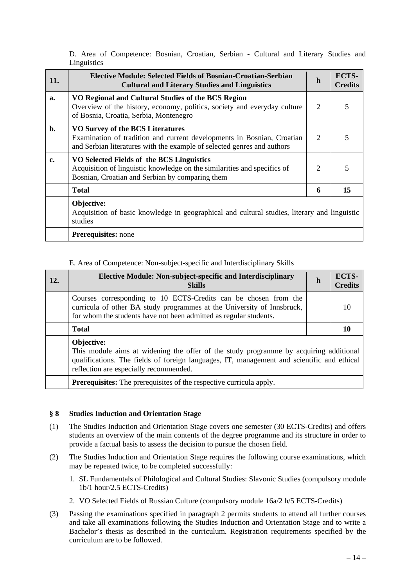D. Area of Competence: Bosnian, Croatian, Serbian - Cultural and Literary Studies and Linguistics

| 11.            | <b>Elective Module: Selected Fields of Bosnian-Croatian-Serbian</b><br><b>Cultural and Literary Studies and Linguistics</b>                                                                  | h                           | ECTS-<br><b>Credits</b> |
|----------------|----------------------------------------------------------------------------------------------------------------------------------------------------------------------------------------------|-----------------------------|-------------------------|
| a.             | VO Regional and Cultural Studies of the BCS Region<br>Overview of the history, economy, politics, society and everyday culture<br>of Bosnia, Croatia, Serbia, Montenegro                     | $\mathcal{D}_{\mathcal{L}}$ | 5                       |
| $\mathbf{b}$ . | <b>VO Survey of the BCS Literatures</b><br>Examination of tradition and current developments in Bosnian, Croatian<br>and Serbian literatures with the example of selected genres and authors | $\overline{2}$              | 5                       |
| c.             | VO Selected Fields of the BCS Linguistics<br>Acquisition of linguistic knowledge on the similarities and specifics of<br>Bosnian, Croatian and Serbian by comparing them                     | $\overline{2}$              |                         |
|                | <b>Total</b>                                                                                                                                                                                 | 6                           | 15                      |
|                | Objective:<br>Acquisition of basic knowledge in geographical and cultural studies, literary and linguistic<br>studies                                                                        |                             |                         |
|                | <b>Prerequisites:</b> none                                                                                                                                                                   |                             |                         |

## E. Area of Competence: Non-subject-specific and Interdisciplinary Skills

| 12. | Elective Module: Non-subject-specific and Interdisciplinary<br><b>Skills</b>                                                                                                                                                                | h | <b>ECTS-</b><br><b>Credits</b> |
|-----|---------------------------------------------------------------------------------------------------------------------------------------------------------------------------------------------------------------------------------------------|---|--------------------------------|
|     | Courses corresponding to 10 ECTS-Credits can be chosen from the<br>curricula of other BA study programmes at the University of Innsbruck,<br>for whom the students have not been admitted as regular students.                              |   |                                |
|     | <b>Total</b>                                                                                                                                                                                                                                |   |                                |
|     | Objective:<br>This module aims at widening the offer of the study programme by acquiring additional<br>qualifications. The fields of foreign languages, IT, management and scientific and ethical<br>reflection are especially recommended. |   |                                |
|     | <b>Prerequisites:</b> The prerequisites of the respective curricula apply.                                                                                                                                                                  |   |                                |

## **§ 8 Studies Induction and Orientation Stage**

- (1) The Studies Induction and Orientation Stage covers one semester (30 ECTS-Credits) and offers students an overview of the main contents of the degree programme and its structure in order to provide a factual basis to assess the decision to pursue the chosen field.
- (2) The Studies Induction and Orientation Stage requires the following course examinations, which may be repeated twice, to be completed successfully:
	- 1. SL Fundamentals of Philological and Cultural Studies: Slavonic Studies (compulsory module 1b/1 hour/2.5 ECTS-Credits)
	- 2. VO Selected Fields of Russian Culture (compulsory module 16a/2 h/5 ECTS-Credits)
- (3) Passing the examinations specified in paragraph 2 permits students to attend all further courses and take all examinations following the Studies Induction and Orientation Stage and to write a Bachelor's thesis as described in the curriculum. Registration requirements specified by the curriculum are to be followed.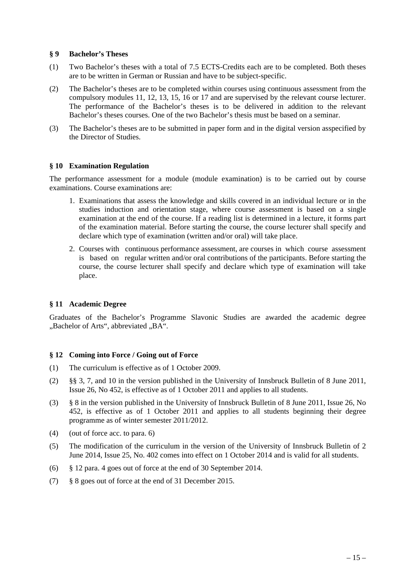### **§ 9 Bachelor's Theses**

- (1) Two Bachelor's theses with a total of 7.5 ECTS-Credits each are to be completed. Both theses are to be written in German or Russian and have to be subject-specific.
- (2) The Bachelor's theses are to be completed within courses using continuous assessment from the compulsory modules 11, 12, 13, 15, 16 or 17 and are supervised by the relevant course lecturer. The performance of the Bachelor's theses is to be delivered in addition to the relevant Bachelor's theses courses. One of the two Bachelor's thesis must be based on a seminar.
- (3) The Bachelor's theses are to be submitted in paper form and in the digital version asspecified by the Director of Studies.

### **§ 10 Examination Regulation**

The performance assessment for a module (module examination) is to be carried out by course examinations. Course examinations are:

- 1. Examinations that assess the knowledge and skills covered in an individual lecture or in the studies induction and orientation stage, where course assessment is based on a single examination at the end of the course. If a reading list is determined in a lecture, it forms part of the examination material. Before starting the course, the course lecturer shall specify and declare which type of examination (written and/or oral) will take place.
- 2. Courses with continuous performance assessment, are courses in which course assessment is based on regular written and/or oral contributions of the participants. Before starting the course, the course lecturer shall specify and declare which type of examination will take place.

#### **§ 11 Academic Degree**

Graduates of the Bachelor's Programme Slavonic Studies are awarded the academic degree "Bachelor of Arts", abbreviated "BA".

### **§ 12 Coming into Force / Going out of Force**

- (1) The curriculum is effective as of 1 October 2009.
- (2) §§ 3, 7, and 10 in the version published in the University of Innsbruck Bulletin of 8 June 2011, Issue 26, No 452, is effective as of 1 October 2011 and applies to all students.
- (3) § 8 in the version published in the University of Innsbruck Bulletin of 8 June 2011, Issue 26, No 452, is effective as of 1 October 2011 and applies to all students beginning their degree programme as of winter semester 2011/2012.
- (4) (out of force acc. to para. 6)
- (5) The modification of the curriculum in the version of the University of Innsbruck Bulletin of 2 June 2014, Issue 25, No. 402 comes into effect on 1 October 2014 and is valid for all students.
- (6) § 12 para. 4 goes out of force at the end of 30 September 2014.
- (7) § 8 goes out of force at the end of 31 December 2015.